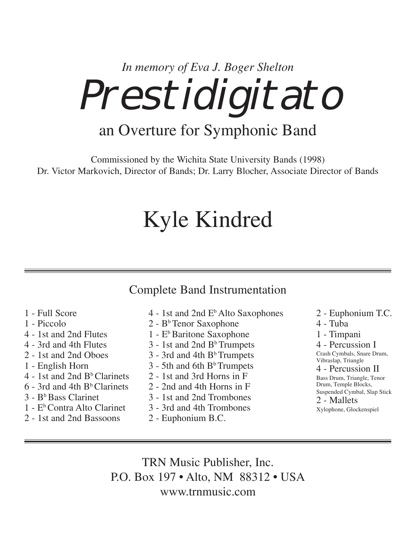## Prestidigitato *In memory of Eva J. Boger Shelton* an Overture for Symphonic Band

Commissioned by the Wichita State University Bands (1998) Dr. Victor Markovich, Director of Bands; Dr. Larry Blocher, Associate Director of Bands

## Kyle Kindred

### Complete Band Instrumentation

- 1 Full Score
- 1 Piccolo
- 4 1st and 2nd Flutes
- 4 3rd and 4th Flutes
- 2 1st and 2nd Oboes
- 1 English Horn
- $4 1$ st and  $2$ nd  $B<sup>b</sup>$ Clarinets
- $6 3$ rd and 4th B<sup>b</sup> Clarinets
- $3 B<sup>b</sup>$  Bass Clarinet
- 1 EbContra Alto Clarinet
- 2 1st and 2nd Bassoons
- 4 1st and 2nd Eb Alto Saxophones
- 2 Bb Tenor Saxophone
- $1$   $E<sup>b</sup>$  Baritone Saxophone
- 3 1st and 2nd Bb Trumpets
- $3 3$ rd and 4th  $B<sup>b</sup>$  Trumpets
- $3 5$ th and 6th B<sup>b</sup> Trumpets
- 2 1st and 3rd Horns in F
- 2 2nd and 4th Horns in F
- 3 1st and 2nd Trombones
- 3 3rd and 4th Trombones
- 2 Euphonium B.C.
- 2 Euphonium T.C.
- 4 Tuba
- 1 Timpani
- 4 Percussion I
- Crash Cymbals, Snare Drum, Vibraslap, Triangle
- 4 Percussion II Bass Drum, Triangle, Tenor Drum, Temple Blocks,

Suspended Cymbal, Slap Stick 2 - Mallets Xylophone, Glockenspiel

TRN Music Publisher, Inc. P.O. Box 197 • Alto, NM 88312 • USA www.trnmusic.com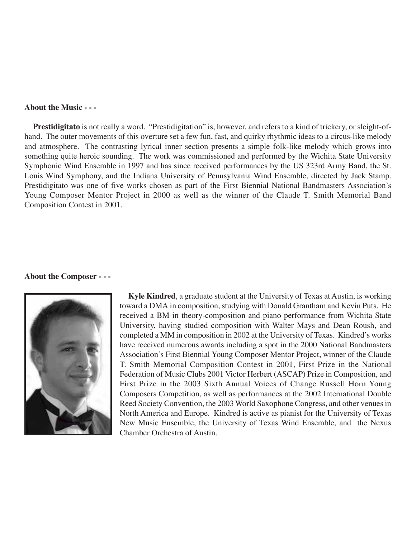#### **About the Music - - -**

 **Prestidigitato** is not really a word. "Prestidigitation" is, however, and refers to a kind of trickery, or sleight-ofhand. The outer movements of this overture set a few fun, fast, and quirky rhythmic ideas to a circus-like melody and atmosphere. The contrasting lyrical inner section presents a simple folk-like melody which grows into something quite heroic sounding. The work was commissioned and performed by the Wichita State University Symphonic Wind Ensemble in 1997 and has since received performances by the US 323rd Army Band, the St. Louis Wind Symphony, and the Indiana University of Pennsylvania Wind Ensemble, directed by Jack Stamp. Prestidigitato was one of five works chosen as part of the First Biennial National Bandmasters Association's Young Composer Mentor Project in 2000 as well as the winner of the Claude T. Smith Memorial Band Composition Contest in 2001.

#### **About the Composer - - -**



 **Kyle Kindred**, a graduate student at the University of Texas at Austin, is working toward a DMA in composition, studying with Donald Grantham and Kevin Puts. He received a BM in theory-composition and piano performance from Wichita State University, having studied composition with Walter Mays and Dean Roush, and completed a MM in composition in 2002 at the University of Texas. Kindred's works have received numerous awards including a spot in the 2000 National Bandmasters Association's First Biennial Young Composer Mentor Project, winner of the Claude T. Smith Memorial Composition Contest in 2001, First Prize in the National Federation of Music Clubs 2001 Victor Herbert (ASCAP) Prize in Composition, and First Prize in the 2003 Sixth Annual Voices of Change Russell Horn Young Composers Competition, as well as performances at the 2002 International Double Reed Society Convention, the 2003 World Saxophone Congress, and other venues in North America and Europe. Kindred is active as pianist for the University of Texas New Music Ensemble, the University of Texas Wind Ensemble, and the Nexus Chamber Orchestra of Austin.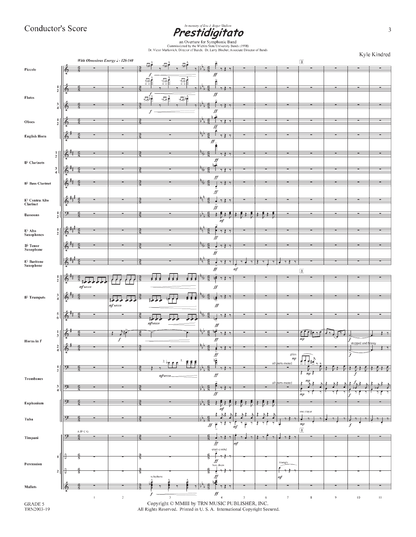#### Conductor's Score

# In memory of Eva J. Boger Shelton<br> **Pressure Strategy of Eva J. Boger Shelton**<br>
an Overture for Symphonic Band<br>
Commissioned by the Wichita State University Bands (1998)<br>
Dr. Victor Markovich, Director of Bands: Dr. Larry

|                                          |               |            |                                                        |                                    |                 |                   |    |    | Dr. Victor Markovich, Director of Bands: Dr. Larry Blocher, Associate Director of Bands |    |   |                               |                  |         |                    | Kyle Kindred |
|------------------------------------------|---------------|------------|--------------------------------------------------------|------------------------------------|-----------------|-------------------|----|----|-----------------------------------------------------------------------------------------|----|---|-------------------------------|------------------|---------|--------------------|--------------|
|                                          |               |            | With Obnoxious Energy 2 - 126-140                      |                                    | Ωŕ              |                   |    |    |                                                                                         |    |   |                               | $\boxed{8}$      |         |                    |              |
| Piccolo                                  |               | Ѩ          |                                                        |                                    |                 |                   |    |    | ſJ                                                                                      |    |   |                               |                  |         |                    |              |
|                                          |               |            |                                                        |                                    | 묰               | 몰                 | 璧  |    |                                                                                         |    |   |                               |                  |         |                    |              |
|                                          | $\frac{1}{2}$ |            |                                                        |                                    |                 |                   |    |    | <br>ff                                                                                  |    |   |                               |                  |         |                    |              |
| Flutes                                   |               |            |                                                        |                                    | 型笔              | 湿                 | 四峰 |    |                                                                                         |    |   |                               |                  |         |                    |              |
|                                          | $\frac{3}{4}$ |            |                                                        |                                    |                 |                   |    |    | ff                                                                                      |    |   |                               |                  |         |                    |              |
|                                          |               |            |                                                        |                                    |                 |                   |    |    | $\sqrt{4}$                                                                              |    |   |                               |                  |         |                    |              |
| Oboes                                    | $\frac{1}{2}$ |            |                                                        |                                    |                 |                   |    |    | ff                                                                                      |    |   |                               |                  |         |                    |              |
| <b>English Horn</b>                      |               |            |                                                        |                                    |                 |                   |    |    | * <del>*</del>                                                                          |    |   |                               |                  |         |                    |              |
|                                          |               |            |                                                        |                                    |                 |                   |    |    | f f                                                                                     |    |   |                               |                  |         |                    |              |
|                                          | $\frac{1}{2}$ |            |                                                        |                                    |                 |                   |    |    | $\rightarrow$                                                                           |    |   |                               |                  |         |                    |              |
| B <sup>b</sup> Clarinets                 |               |            |                                                        |                                    |                 |                   |    |    | $\overline{f\hspace{-0.28em}f\hspace{-0.28em}f}$                                        |    |   |                               |                  |         |                    |              |
|                                          | $\frac{3}{4}$ |            |                                                        |                                    |                 |                   |    | प# | पर                                                                                      |    |   |                               |                  |         |                    |              |
|                                          |               |            |                                                        |                                    |                 |                   |    |    | f f                                                                                     |    |   |                               |                  |         |                    |              |
| B <sup>b</sup> Bass Clarinet             |               |            |                                                        |                                    |                 |                   |    |    |                                                                                         |    |   |                               |                  |         |                    |              |
|                                          |               |            |                                                        |                                    |                 |                   |    |    | ∯<br>$+1$                                                                               |    |   |                               |                  |         |                    |              |
| E <sup>5</sup> Contra Alto<br>Clarinet   |               |            |                                                        |                                    |                 |                   |    |    | ff                                                                                      |    |   |                               |                  |         |                    |              |
| <b>Bassoons</b>                          | $\frac{1}{2}$ |            |                                                        |                                    |                 |                   |    | ℶ  | 2 B Z                                                                                   |    |   |                               |                  |         |                    |              |
|                                          |               |            |                                                        |                                    |                 |                   |    |    | m f                                                                                     |    |   |                               |                  |         |                    |              |
| E <sup>5</sup> Alto<br>Saxophones        | $\frac{1}{2}$ |            |                                                        |                                    |                 |                   |    |    | ∸                                                                                       |    |   |                               |                  |         |                    |              |
|                                          |               |            |                                                        |                                    |                 |                   |    |    | ff                                                                                      |    |   |                               |                  |         |                    |              |
| B♭ Tenor<br>Saxophone                    |               |            |                                                        |                                    |                 |                   |    |    |                                                                                         |    |   |                               |                  |         |                    |              |
|                                          |               |            |                                                        |                                    |                 |                   |    |    | $f\hspace{-0.1cm}f$                                                                     |    |   |                               |                  |         |                    |              |
| $\mathbf{E}^\flat$ Baritone<br>Saxophone |               |            |                                                        |                                    |                 |                   |    |    | f f                                                                                     | mf |   |                               |                  |         |                    |              |
|                                          | $\frac{1}{2}$ |            |                                                        |                                    |                 |                   |    |    |                                                                                         |    |   |                               | $\fbox{8}$       |         |                    |              |
|                                          |               |            | mfsecco                                                |                                    |                 |                   |    |    | f f                                                                                     |    |   |                               |                  |         |                    |              |
|                                          |               |            |                                                        |                                    |                 |                   |    |    |                                                                                         |    |   |                               |                  |         |                    |              |
| $\mathbf{B}^{\flat}$ Trumpets            | $\frac{3}{4}$ |            |                                                        | $\overline{1}$<br>क्र,<br>mf secco |                 |                   |    |    | ff                                                                                      |    |   |                               |                  |         |                    |              |
|                                          |               |            |                                                        |                                    |                 |                   |    |    |                                                                                         |    |   |                               |                  |         |                    |              |
|                                          | $\frac{5}{6}$ |            |                                                        |                                    |                 |                   |    |    |                                                                                         |    |   |                               |                  |         |                    |              |
|                                          |               |            |                                                        |                                    | mfsecco         |                   |    |    | f f<br>ਵ                                                                                |    |   |                               |                  |         |                    |              |
|                                          | $\frac{1}{3}$ |            |                                                        | $\mathcal{L}_{\mathcal{L}}$        |                 |                   |    |    | $f\!f$                                                                                  |    |   |                               | $f(t) = t$<br>тр |         |                    |              |
| Horns in F                               | $\frac{2}{4}$ |            |                                                        |                                    |                 |                   |    |    |                                                                                         |    |   |                               |                  |         | stopped and brassy |              |
|                                          |               |            |                                                        |                                    |                 |                   |    |    | ff                                                                                      |    |   | gliss.                        |                  |         |                    |              |
|                                          |               |            |                                                        |                                    |                 | $2.  _{p_{\tau}}$ |    |    | ķ                                                                                       |    |   | $m\rho$<br>all parts muted    | <u>∏</u> ⊒⊯      |         |                    |              |
|                                          | $\frac{1}{2}$ | ≘          |                                                        |                                    |                 |                   |    |    | $f\hspace{-0.1cm}f$                                                                     |    |   |                               | mp               |         | ≮⊞                 |              |
| Trombones                                |               |            |                                                        |                                    |                 | mfsecco_          |    |    |                                                                                         |    |   | all parts muted               | mp               |         |                    |              |
|                                          | $\frac{3}{4}$ |            |                                                        |                                    |                 |                   |    |    | $\rightarrow$                                                                           |    |   |                               |                  |         |                    |              |
|                                          |               |            |                                                        |                                    |                 |                   |    |    | $f\hspace{-0.1cm}f$                                                                     |    |   |                               | mp               |         |                    |              |
| Euphonium                                |               |            |                                                        |                                    |                 |                   |    |    | 7 3<br>mf                                                                               |    |   |                               |                  |         |                    |              |
| Tuba                                     |               | <u>بوء</u> |                                                        |                                    |                 |                   |    |    |                                                                                         |    |   |                               | one player       |         |                    |              |
|                                          |               |            |                                                        |                                    |                 |                   |    |    | ff                                                                                      |    |   |                               | $\mathfrak{m}p$  |         |                    |              |
|                                          |               | <u> 9:</u> | A $\mathsf{B}^{\flat} \mathrel{\mathsf{C}} \mathsf{G}$ |                                    |                 |                   |    |    |                                                                                         |    |   | $\sim$ $\lambda$<br>$\bullet$ | $\boxed{8}$      |         |                    |              |
| Timpani                                  |               |            |                                                        |                                    |                 |                   |    |    | Ĭf                                                                                      | mf |   |                               |                  |         |                    |              |
|                                          |               |            |                                                        |                                    |                 |                   |    |    | crash cymbal                                                                            |    |   |                               |                  |         |                    |              |
|                                          | $\mathbf{1}$  | ₩          |                                                        |                                    |                 |                   |    |    | $\dot{f} f$                                                                             |    |   | triangle                      |                  |         |                    |              |
| Percussion                               | $\frac{2}{ }$ | ╥          |                                                        |                                    |                 |                   |    |    | bass drum                                                                               |    |   |                               |                  |         |                    |              |
|                                          |               |            |                                                        |                                    | -8<br>xylophone |                   |    |    | ∬                                                                                       |    |   | $m\!f$                        |                  |         |                    |              |
| Mallets                                  |               |            |                                                        |                                    |                 |                   |    |    |                                                                                         |    |   |                               |                  |         |                    |              |
|                                          |               |            | $\mathbf I$                                            | $\,$ 2 $\,$                        |                 | 3                 |    |    | $f\hspace{-0.1cm}f\hspace{-0.1cm}f$<br>$\overline{4}$                                   | 5  | 6 | $\boldsymbol{7}$              | $\bf 8$          | $\,9\,$ | $10\,$             | $\mathbf{H}$ |
| CRADE:                                   |               |            |                                                        |                                    |                 |                   |    |    | Conveight © MMIII by TRN MUSIC PURLISHER, INC.                                          |    |   |                               |                  |         |                    |              |

Copyright  $\mathbb O$  MMIII by TRN MUSIC PUBLISHER, INC.<br>All Rights Reserved. Printed in U.S.A. International Copyright Secured.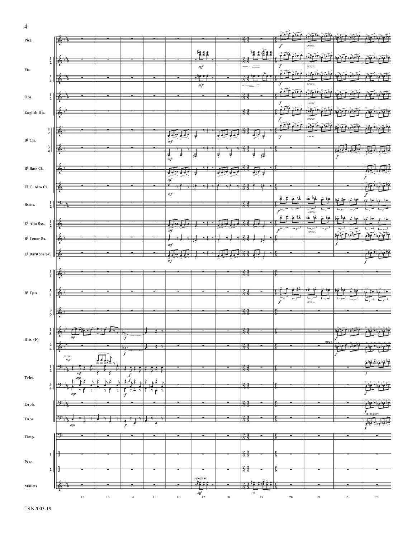| $\overline{4}$                                   |                                                           |                             |                |                 |                                          |                               |        |                             |                  |                          |                                                         |            |                                                                                    |
|--------------------------------------------------|-----------------------------------------------------------|-----------------------------|----------------|-----------------|------------------------------------------|-------------------------------|--------|-----------------------------|------------------|--------------------------|---------------------------------------------------------|------------|------------------------------------------------------------------------------------|
| Picc.                                            |                                                           |                             |                |                 |                                          |                               |        |                             |                  |                          |                                                         |            |                                                                                    |
|                                                  |                                                           |                             |                |                 |                                          | 騅                             |        | 非鲜<br>隼                     |                  |                          | cresc.                                                  |            |                                                                                    |
| $\frac{1}{2}$                                    | 谲                                                         |                             |                |                 |                                          |                               |        |                             |                  |                          | cresc.                                                  | éf∣        |                                                                                    |
| FIs.                                             |                                                           |                             |                |                 |                                          | $\it mf$                      |        |                             |                  |                          |                                                         |            |                                                                                    |
| $\frac{3}{4}$                                    |                                                           |                             |                |                 |                                          | تمعظ<br>$m\!f$                |        |                             |                  |                          | $\emph{cresc}$                                          | المقم<br>蝉 |                                                                                    |
|                                                  |                                                           |                             |                |                 |                                          |                               |        |                             |                  |                          | $\frac{1}{2}$                                           | ét<br>مقوم |                                                                                    |
| $\frac{1}{2}$<br>Obs.                            |                                                           |                             |                |                 |                                          |                               |        |                             |                  |                          | cresc.                                                  |            |                                                                                    |
| English Hn.                                      | 重                                                         |                             |                |                 |                                          |                               |        |                             |                  |                          | rf                                                      |            |                                                                                    |
|                                                  |                                                           |                             |                |                 |                                          |                               |        |                             |                  | $f$ <sup>2</sup> $f$ $f$ | $\emph{cresc}$<br>$e^{r}$                               |            |                                                                                    |
| $\frac{1}{2}$                                    |                                                           |                             |                |                 | $\frac{1}{\frac{1}{m}f}$                 |                               |        |                             | $\boldsymbol{f}$ |                          | cresc.                                                  |            |                                                                                    |
| $B^{\frac{1}{2}}$ Cls.                           |                                                           |                             |                |                 |                                          |                               |        |                             |                  |                          |                                                         |            |                                                                                    |
| $\frac{3}{4}$                                    | る                                                         |                             |                |                 | $\overline{\overline{t}}_{\mathit{inf}}$ |                               |        | 廷                           |                  |                          |                                                         | 远远         | 原示                                                                                 |
| $\mathbf{B}^{\flat}$ Bass Cl.                    | る                                                         |                             |                |                 |                                          |                               |        |                             |                  |                          |                                                         |            |                                                                                    |
|                                                  |                                                           |                             |                |                 | $\mathit{mf}$                            |                               |        |                             |                  |                          |                                                         |            |                                                                                    |
| $\mathbb{E}^\natural$ C. Alto Cl.                | Ѩ                                                         |                             |                |                 |                                          |                               |        |                             |                  |                          |                                                         |            |                                                                                    |
|                                                  |                                                           |                             |                |                 | $\it{mf}$                                |                               |        |                             |                  |                          |                                                         |            |                                                                                    |
| $\frac{1}{2}$<br>Bssns.                          | ビ                                                         |                             |                |                 |                                          |                               |        |                             |                  |                          |                                                         |            |                                                                                    |
|                                                  |                                                           |                             |                |                 |                                          |                               |        |                             |                  |                          | $\frac{1}{\text{c} \cdot \text{c} \cdot \text{c}}$<br>棹 |            |                                                                                    |
| $\frac{1}{2}$<br>$\mathbb{E}^\natural$ Alto Sxs. |                                                           |                             |                |                 | أنكبته<br>$\overline{mf}$                |                               | 「「 「 」 |                             |                  |                          | $\frac{L}{\text{cresc}}$                                |            |                                                                                    |
| $\mathbf{B}^\flat$ Tenor Sx.                     |                                                           |                             |                |                 |                                          |                               |        |                             |                  |                          |                                                         |            |                                                                                    |
|                                                  |                                                           |                             |                |                 | $\frac{1}{m}$                            |                               |        |                             |                  |                          |                                                         |            |                                                                                    |
| $\mathbb{E}^\flat$ Baritone Sx.                  |                                                           |                             |                |                 | कर<br>$\frac{1}{m}$                      |                               |        |                             |                  |                          |                                                         |            |                                                                                    |
|                                                  |                                                           |                             |                |                 |                                          |                               |        | हैने                        |                  |                          |                                                         |            |                                                                                    |
| $\frac{1}{2}$                                    | 凾                                                         |                             |                |                 |                                          |                               |        |                             |                  |                          |                                                         |            |                                                                                    |
| $\frac{3}{4}$<br>$\mathbf{B}^\flat$ Tpts.        |                                                           |                             |                |                 |                                          |                               |        | 3명                          |                  |                          |                                                         |            |                                                                                    |
|                                                  |                                                           |                             |                |                 |                                          |                               |        |                             | و سا<br>£        | $L_{2}$                  | $\frac{L_{2}+L_{2}}{cresc}$                             |            |                                                                                    |
| $\frac{5}{6}$                                    | 圈                                                         |                             |                |                 |                                          |                               |        | <u> 농경</u>                  |                  |                          |                                                         |            |                                                                                    |
|                                                  |                                                           |                             |                |                 |                                          |                               |        |                             |                  |                          |                                                         |            |                                                                                    |
| $\frac{1}{3}$                                    |                                                           |                             |                |                 |                                          |                               |        |                             |                  |                          |                                                         |            |                                                                                    |
| Hns. (F)                                         | mp                                                        |                             | $\overline{f}$ | $\cdot$ $\cdot$ |                                          |                               |        | $\frac{2.3}{6}$             |                  |                          | ope                                                     |            |                                                                                    |
| $\frac{2}{4}$                                    | F€                                                        |                             | $\tilde{f}$    |                 |                                          |                               |        |                             |                  |                          |                                                         |            |                                                                                    |
|                                                  | $g\ensuremath{\mathit{liss.}}\xspace$ mp<br>$\rightarrow$ | $\widehat{\mathbf{\Sigma}}$ |                |                 |                                          |                               |        |                             |                  |                          |                                                         |            |                                                                                    |
| $\frac{1}{2}$<br>Trbs.                           | $\frac{mp}{mp}$                                           |                             |                |                 |                                          |                               |        | از ہے۔                      |                  |                          |                                                         |            | - 1                                                                                |
| $\frac{3}{4}$                                    |                                                           |                             |                |                 |                                          |                               |        |                             |                  |                          |                                                         |            | ٣f                                                                                 |
|                                                  | $m\rho$                                                   |                             | f              |                 |                                          |                               |        |                             |                  |                          |                                                         |            |                                                                                    |
| Euph.                                            | $\rightarrow$                                             |                             |                |                 |                                          |                               |        | <u> है है</u>               |                  |                          |                                                         |            |                                                                                    |
| Tuba                                             | $\mathbb{P}$                                              |                             |                |                 |                                          |                               |        |                             |                  |                          |                                                         |            | $\frac{\mathcal{F}_{\text{all players}}}{\sqrt{\mathcal{F}_{\text{all players}}}}$ |
|                                                  | mp                                                        |                             |                |                 |                                          |                               |        |                             |                  |                          |                                                         |            | 最高质<br>ř                                                                           |
| $\mbox{\sf Timp}.$                               | ⊕                                                         |                             |                |                 |                                          |                               |        | ैदै                         | H                |                          |                                                         |            |                                                                                    |
|                                                  |                                                           |                             |                |                 |                                          |                               |        |                             |                  |                          |                                                         |            |                                                                                    |
| -1                                               | ℍ                                                         |                             |                |                 |                                          |                               |        | $\frac{2}{8}$ $\frac{3}{8}$ | \$               |                          |                                                         |            |                                                                                    |
| Perc.<br>$\mathbf 2$                             | ╟╫                                                        |                             |                |                 |                                          |                               |        | $\frac{2}{8}$ $\frac{3}{8}$ | \$               |                          |                                                         |            |                                                                                    |
|                                                  |                                                           |                             |                |                 |                                          | xylophone                     |        |                             |                  |                          |                                                         |            |                                                                                    |
| $\bf{M}$ allets                                  |                                                           |                             |                |                 |                                          | $\mathbf{H}$                  |        |                             |                  |                          |                                                         |            |                                                                                    |
|                                                  | $12\,$                                                    | $13\,$                      | $14\,$         | $15\,$          | $16\,$                                   | $\overline{mf}$ <sub>17</sub> | $18\,$ | etti.<br>19                 |                  | $20\,$                   | $2\mathsf{I}$                                           | $22\,$     | $23\,$                                                                             |

TRN2003-19